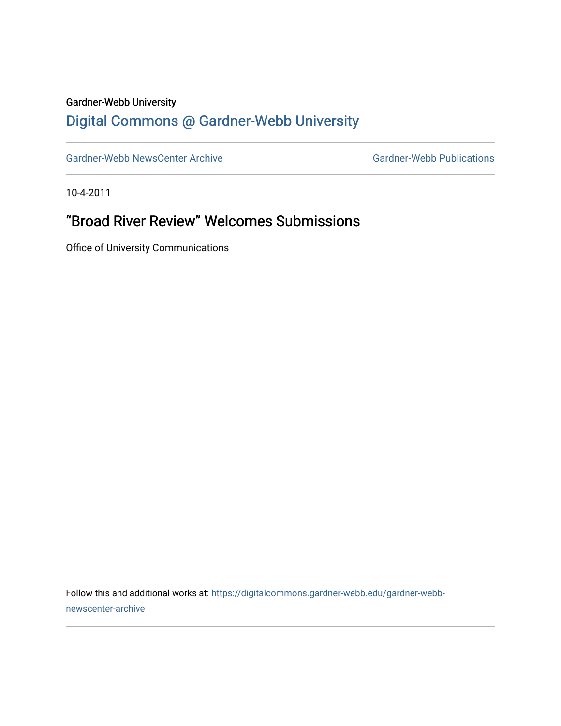## Gardner-Webb University

## [Digital Commons @ Gardner-Webb University](https://digitalcommons.gardner-webb.edu/)

[Gardner-Webb NewsCenter Archive](https://digitalcommons.gardner-webb.edu/gardner-webb-newscenter-archive) Gardner-Webb Publications

10-4-2011

## "Broad River Review" Welcomes Submissions

Office of University Communications

Follow this and additional works at: [https://digitalcommons.gardner-webb.edu/gardner-webb](https://digitalcommons.gardner-webb.edu/gardner-webb-newscenter-archive?utm_source=digitalcommons.gardner-webb.edu%2Fgardner-webb-newscenter-archive%2F1996&utm_medium=PDF&utm_campaign=PDFCoverPages)[newscenter-archive](https://digitalcommons.gardner-webb.edu/gardner-webb-newscenter-archive?utm_source=digitalcommons.gardner-webb.edu%2Fgardner-webb-newscenter-archive%2F1996&utm_medium=PDF&utm_campaign=PDFCoverPages)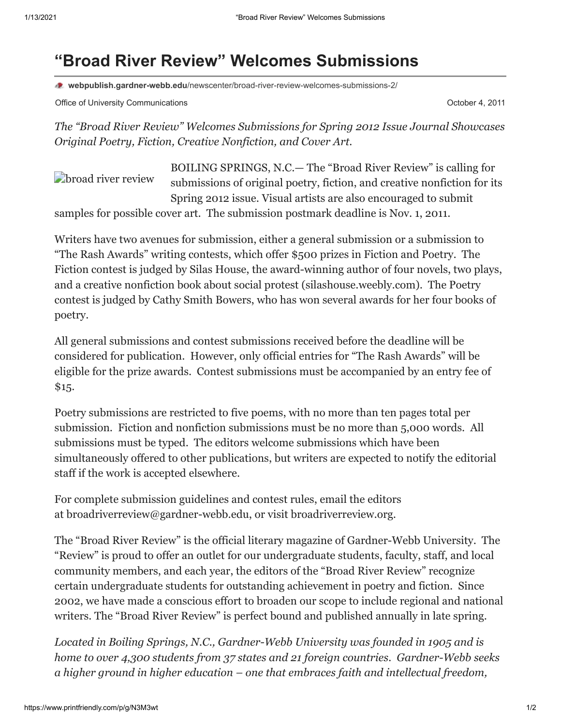## **"Broad River Review" Welcomes Submissions**

**webpublish.gardner-webb.edu**[/newscenter/broad-river-review-welcomes-submissions-2/](https://webpublish.gardner-webb.edu/newscenter/broad-river-review-welcomes-submissions-2/)

Office of University Communications **October 4, 2011 October 4, 2011** 

*The "Broad River Review" Welcomes Submissions for Spring 2012 Issue Journal Showcases Original Poetry, Fiction, Creative Nonfiction, and Cover Art.*

**[broad river review](http://152.44.63.252/newscenter/?attachment_id=1022)** BOILING SPRINGS, N.C.— The "Broad River Review" is calling for submissions of original poetry, fiction, and creative nonfiction for its Spring 2012 issue. Visual artists are also encouraged to submit samples for possible cover art. The submission postmark deadline is Nov. 1, 2011.

Writers have two avenues for submission, either a general submission or a submission to "The Rash Awards" writing contests, which offer \$500 prizes in Fiction and Poetry. The Fiction contest is judged by Silas House, the award-winning author of four novels, two plays, and a creative nonfiction book about social protest ([silashouse.weebly.com\)](http://www.gardner-webb.edu/press/archives/october-2011/silashouse.weebly.com). The Poetry contest is judged by Cathy Smith Bowers, who has won several awards for her four books of poetry.

All general submissions and contest submissions received before the deadline will be considered for publication. However, only official entries for "The Rash Awards" will be eligible for the prize awards. Contest submissions must be accompanied by an entry fee of \$15.

Poetry submissions are restricted to five poems, with no more than ten pages total per submission. Fiction and nonfiction submissions must be no more than 5,000 words. All submissions must be typed. The editors welcome submissions which have been simultaneously offered to other publications, but writers are expected to notify the editorial staff if the work is accepted elsewhere.

For complete submission guidelines and contest rules, email the editors at [broadriverreview@gardner-webb.edu,](mailto:broadriverreview@gardner-webb.edu) or visit [broadriverreview.org](http://www.broadriverreview.org/).

The "Broad River Review" is the official literary magazine of Gardner-Webb University. The "Review" is proud to offer an outlet for our undergraduate students, faculty, staff, and local community members, and each year, the editors of the "Broad River Review" recognize certain undergraduate students for outstanding achievement in poetry and fiction. Since 2002, we have made a conscious effort to broaden our scope to include regional and national writers. The "Broad River Review" is perfect bound and published annually in late spring.

*Located in Boiling Springs, N.C., Gardner-Webb University was founded in 1905 and is home to over 4,300 students from 37 states and 21 foreign countries. Gardner-Webb seeks a higher ground in higher education – one that embraces faith and intellectual freedom,*